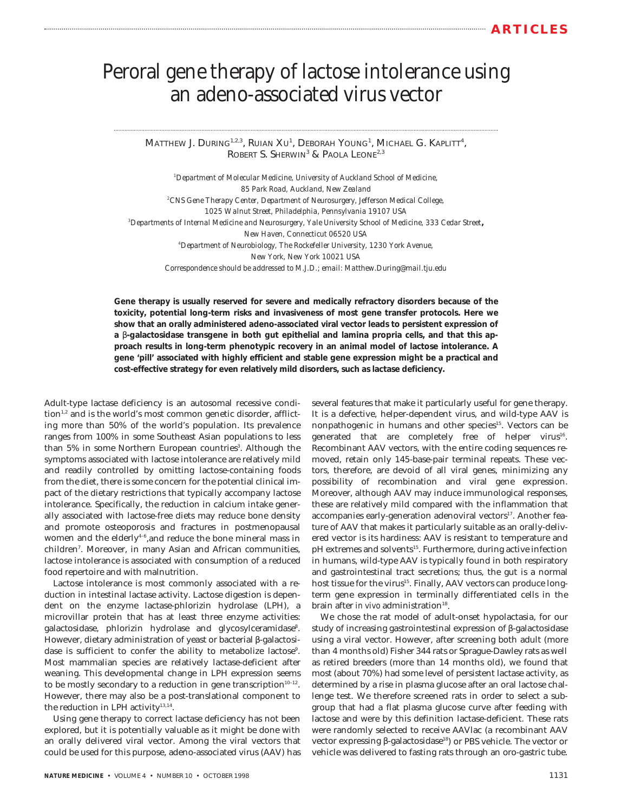# Peroral gene therapy of lactose intolerance using an adeno-associated virus vector

Matthew J. During<sup>1,2,3</sup>, Ruian Xu<sup>1</sup>, Deborah Young<sup>1</sup>, Michael G. Kaplitt<sup>4</sup>, ROBERT S. SHERWIN<sup>3</sup> & PAOLA LEONE<sup>2,3</sup>

*1 Department of Molecular Medicine, University of Auckland School of Medicine, 85 Park Road, Auckland, New Zealand 2 CNS Gene Therapy Center, Department of Neurosurgery, Jefferson Medical College, 1025 Walnut Street, Philadelphia, Pennsylvania 19107 USA 3 Departments of Internal Medicine and Neurosurgery, Yale University School of Medicine, 333 Cedar Street, New Haven, Connecticut 06520 USA 4 Department of Neurobiology, The Rockefeller University, 1230 York Avenue, New York, New York 10021 USA Correspondence should be addressed to M.J.D.; email: Matthew.During@mail.tju.edu*

**Gene therapy is usually reserved for severe and medically refractory disorders because of the toxicity, potential long-term risks and invasiveness of most gene transfer protocols. Here we show that an orally administered adeno-associated viral vector leads to persistent expression of a** β**-galactosidase transgene in both gut epithelial and lamina propria cells, and that this approach results in long-term phenotypic recovery in an animal model of lactose intolerance. A gene 'pill' associated with highly efficient and stable gene expression might be a practical and cost-effective strategy for even relatively mild disorders, such as lactase deficiency.**

Adult-type lactase deficiency is an autosomal recessive condi- $\chi$  tion<sup>1,2</sup> and is the world's most common genetic disorder, afflicting more than 50% of the world's population. Its prevalence ranges from 100% in some Southeast Asian populations to less than 5% in some Northern European countries<sup>3</sup>. Although the symptoms associated with lactose intolerance are relatively mild and readily controlled by omitting lactose-containing foods from the diet, there is some concern for the potential clinical impact of the dietary restrictions that typically accompany lactose intolerance. Specifically, the reduction in calcium intake generally associated with lactose-free diets may reduce bone density and promote osteoporosis and fractures in postmenopausal women and the elderly<sup>4-6</sup>, and reduce the bone mineral mass in children<sup>7</sup>. Moreover, in many Asian and African communities, lactose intolerance is associated with consumption of a reduced food repertoire and with malnutrition.

Lactose intolerance is most commonly associated with a reduction in intestinal lactase activity. Lactose digestion is dependent on the enzyme lactase-phlorizin hydrolase (LPH), a microvillar protein that has at least three enzyme activities: galactosidase, phlorizin hydrolase and glycosylceramidase<sup>8</sup>. However, dietary administration of yeast or bacterial β-galactosidase is sufficient to confer the ability to metabolize lactose<sup>9</sup>. Most mammalian species are relatively lactase-deficient after weaning. This developmental change in LPH expression seems to be mostly secondary to a reduction in gene transcription $10^{-12}$ . However, there may also be a post-translational component to the reduction in LPH activity $13,14$ .

Using gene therapy to correct lactase deficiency has not been explored, but it is potentially valuable as it might be done with an orally delivered viral vector. Among the viral vectors that could be used for this purpose, adeno-associated virus (AAV) has

**NATURE MEDICINE** • VOLUME 4 • NUMBER 10 • OCTOBER 1998

several features that make it particularly useful for gene therapy. It is a defective, helper-dependent virus, and wild-type AAV is nonpathogenic in humans and other species<sup>15</sup>. Vectors can be generated that are completely free of helper virus<sup>16</sup>. Recombinant AAV vectors, with the entire coding sequences removed, retain only 145-base-pair terminal repeats. These vectors, therefore, are devoid of all viral genes, minimizing any possibility of recombination and viral gene expression. Moreover, although AAV may induce immunological responses, these are relatively mild compared with the inflammation that accompanies early-generation adenoviral vectors<sup>17</sup>. Another feature of AAV that makes it particularly suitable as an orally-delivered vector is its hardiness: AAV is resistant to temperature and pH extremes and solvents<sup>15</sup>. Furthermore, during active infection in humans, wild-type AAV is typically found in both respiratory and gastrointestinal tract secretions; thus, the gut is a normal host tissue for the virus<sup>15</sup>. Finally, AAV vectors can produce longterm gene expression in terminally differentiated cells in the brain after *in vivo* administration<sup>18</sup>.

We chose the rat model of adult-onset hypolactasia, for our study of increasing gastrointestinal expression of β-galactosidase using a viral vector. However, after screening both adult (more than 4 months old) Fisher 344 rats or Sprague-Dawley rats as well as retired breeders (more than 14 months old), we found that most (about 70%) had some level of persistent lactase activity, as determined by a rise in plasma glucose after an oral lactose challenge test. We therefore screened rats in order to select a subgroup that had a flat plasma glucose curve after feeding with lactose and were by this definition lactase-deficient. These rats were randomly selected to receive AAVlac (a recombinant AAV vector expressing β-galactosidase<sup>18</sup>) or PBS vehicle. The vector or vehicle was delivered to fasting rats through an oro-gastric tube.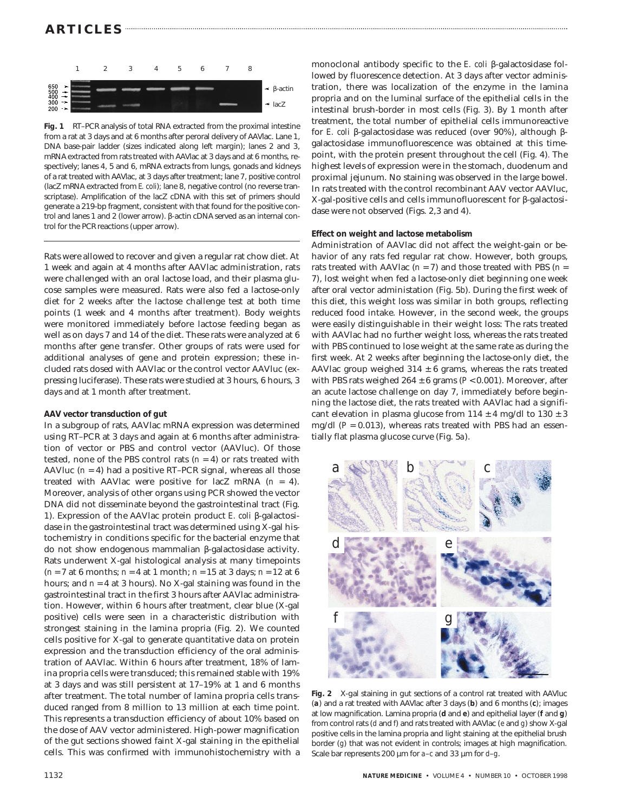# **ARTICLES**



**Fig. 1** RT–PCR analysis of total RNA extracted from the proximal intestine from a rat at 3 days and at 6 months after peroral delivery of AAVlac. Lane 1, DNA base-pair ladder (sizes indicated along left margin); lanes 2 and 3, mRNA extracted from rats treated with AAVlac at 3 days and at 6 months, respectively; lanes 4, 5 and 6, mRNA extracts from lungs, gonads and kidneys of a rat treated with AAVlac, at 3 days after treatment; lane 7, positive control (lacZ mRNA extracted from *E. coli*)*;* lane 8, negative control (no reverse transcriptase). Amplification of the lacZ cDNA with this set of primers should generate a 219-bp fragment, consistent with that found for the positive control and lanes 1 and 2 (lower arrow). β*-*actin cDNA served as an internal control for the PCR reactions (upper arrow).

Rats were allowed to recover and given a regular rat chow diet. At 1 week and again at 4 months after AAVlac administration, rats were challenged with an oral lactose load, and their plasma glucose samples were measured. Rats were also fed a lactose-only diet for 2 weeks after the lactose challenge test at both time points (1 week and 4 months after treatment). Body weights were monitored immediately before lactose feeding began as well as on days 7 and 14 of the diet. These rats were analyzed at 6 months after gene transfer. Other groups of rats were used for additional analyses of gene and protein expression; these included rats dosed with AAVlac or the control vector AAVluc (expressing luciferase). These rats were studied at 3 hours, 6 hours, 3 days and at 1 month after treatment.

## **AAV vector transduction of gut**

In a subgroup of rats, AAVlac mRNA expression was determined using RT–PCR at 3 days and again at 6 months after administration of vector or PBS and control vector (AAVluc). Of those tested, none of the PBS control rats  $(n = 4)$  or rats treated with AAVluc  $(n = 4)$  had a positive RT–PCR signal, whereas all those treated with AAVlac were positive for lacZ mRNA (*n* = 4). Moreover, analysis of other organs using PCR showed the vector DNA did not disseminate beyond the gastrointestinal tract (Fig. 1). Expression of the AAVlac protein product *E. coli* β-galactosidase in the gastrointestinal tract was determined using X-gal histochemistry in conditions specific for the bacterial enzyme that do not show endogenous mammalian β-galactosidase activity. Rats underwent X-gal histological analysis at many timepoints (*n* = 7 at 6 months; *n* = 4 at 1 month; *n* = 15 at 3 days; *n* = 12 at 6 hours; and *n* = 4 at 3 hours). No X-gal staining was found in the gastrointestinal tract in the first 3 hours after AAVlac administration. However, within 6 hours after treatment, clear blue (X-gal positive) cells were seen in a characteristic distribution with strongest staining in the lamina propria (Fig. 2). We counted cells positive for X-gal to generate quantitative data on protein expression and the transduction efficiency of the oral administration of AAVlac. Within 6 hours after treatment, 18% of lamina propria cells were transduced; this remained stable with 19% at 3 days and was still persistent at 17–19% at 1 and 6 months after treatment. The total number of lamina propria cells transduced ranged from 8 million to 13 million at each time point. This represents a transduction efficiency of about 10% based on the dose of AAV vector administered. High-power magnification of the gut sections showed faint X-gal staining in the epithelial cells. This was confirmed with immunohistochemistry with a

monoclonal antibody specific to the *E. coli* β-galactosidase followed by fluorescence detection. At 3 days after vector administration, there was localization of the enzyme in the lamina propria and on the luminal surface of the epithelial cells in the intestinal brush-border in most cells (Fig. 3). By 1 month after treatment, the total number of epithelial cells immunoreactive for *E. coli* β-galactosidase was reduced (over 90%), although βgalactosidase immunofluorescence was obtained at this timepoint, with the protein present throughout the cell (Fig. 4). The highest levels of expression were in the stomach, duodenum and proximal jejunum. No staining was observed in the large bowel. In rats treated with the control recombinant AAV vector AAVluc, X-gal-positive cells and cells immunofluorescent for β-galactosidase were not observed (Figs. 2,3 and 4).

#### **Effect on weight and lactose metabolism**

Administration of AAVlac did not affect the weight-gain or behavior of any rats fed regular rat chow. However, both groups, rats treated with AAVlac  $(n = 7)$  and those treated with PBS  $(n = 7)$ 7), lost weight when fed a lactose-only diet beginning one week after oral vector administation (Fig. 5*b*). During the first week of this diet, this weight loss was similar in both groups, reflecting reduced food intake. However, in the second week, the groups were easily distinguishable in their weight loss: The rats treated with AAVlac had no further weight loss, whereas the rats treated with PBS continued to lose weight at the same rate as during the first week. At 2 weeks after beginning the lactose-only diet, the AAVlac group weighed  $314 \pm 6$  grams, whereas the rats treated with PBS rats weighed 264 ± 6 grams (*P* < 0.001). Moreover, after an acute lactose challenge on day 7, immediately before beginning the lactose diet, the rats treated with AAVlac had a significant elevation in plasma glucose from  $114 \pm 4$  mg/dl to  $130 \pm 3$ mg/dl  $(P = 0.013)$ , whereas rats treated with PBS had an essentially flat plasma glucose curve (Fig. 5*a*).



**Fig. 2** X-gal staining in gut sections of a control rat treated with AAVluc (*a*) and a rat treated with AAVlac after 3 days (*b*) and 6 months (*c*); images at low magnification. Lamina propria (*d* and *e*) and epithelial layer (*f* and *g*) from control rats (*d* and *f*) and rats treated with AAVlac (*e* and *g*) show X-gal positive cells in the lamina propria and light staining at the epithelial brush border (*g*) that was not evident in controls; images at high magnification. Scale bar represents 200 µm for *a*–*c* and 33 µm for *d*–*g*.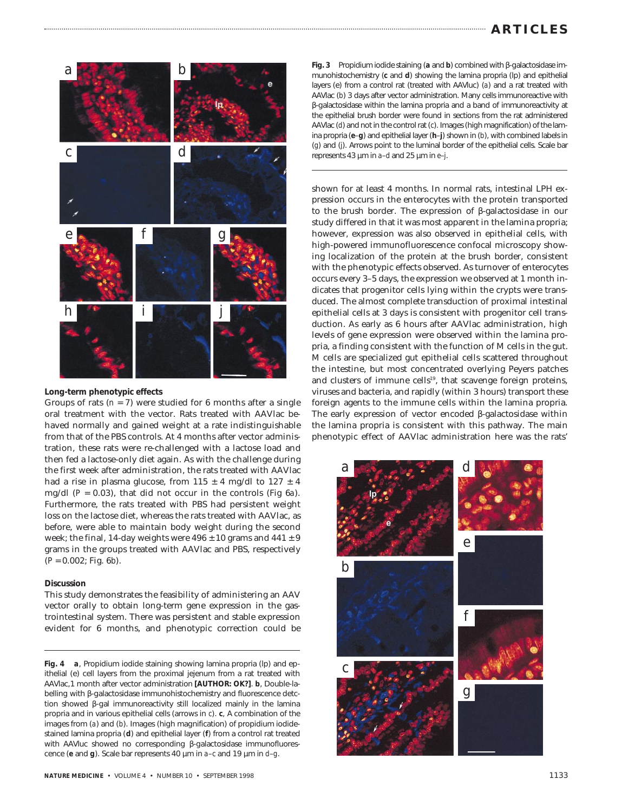

**Long-term phenotypic effects**

Groups of rats  $(n = 7)$  were studied for 6 months after a single oral treatment with the vector. Rats treated with AAVlac behaved normally and gained weight at a rate indistinguishable from that of the PBS controls. At 4 months after vector administration, these rats were re-challenged with a lactose load and then fed a lactose-only diet again. As with the challenge during the first week after administration, the rats treated with AAVlac had a rise in plasma glucose, from  $115 \pm 4$  mg/dl to  $127 \pm 4$ mg/dl (*P* = 0.03), that did not occur in the controls (Fig 6*a*). Furthermore, the rats treated with PBS had persistent weight loss on the lactose diet, whereas the rats treated with AAVlac, as before, were able to maintain body weight during the second week; the final, 14-day weights were  $496 \pm 10$  grams and  $441 \pm 9$ grams in the groups treated with AAVlac and PBS, respectively (*P* = 0.002; Fig. 6*b*).

## **Discussion**

This study demonstrates the feasibility of administering an AAV vector orally to obtain long-term gene expression in the gastrointestinal system. There was persistent and stable expression evident for 6 months, and phenotypic correction could be

**Fig. 4** *a*, Propidium iodide staining showing lamina propria (lp) and epithelial (e) cell layers from the proximal jejenum from a rat treated with AAVlac,1 month after vector administration **[AUTHOR: OK?]**. *b*, Double-labelling with β-galactosidase immunohistochemistry and fluorescence detction showed β-gal immunoreactivity still localized mainly in the lamina propria and in various epithelial cells (arrows in *c*). *c*, A combination of the images from (*a*) and (*b*). Images (high magnification) of propidium iodidestained lamina propria (*d*) and epithelial layer (*f*) from a control rat treated with AAVluc showed no corresponding β-galactosidase immunofluorescence (*e* and *g*). Scale bar represents 40 µm in *a*–*c* and 19 µm in *d*–*g*.

**Fig. 3** Propidium iodide staining (*a* and *b*) combined with β-galactosidase immunohistochemistry (*c* and *d*) showing the lamina propria (lp) and epithelial layers (e) from a control rat (treated with AAVluc) (*a*) and a rat treated with AAVlac (*b*) 3 days after vector administration. Many cells immunoreactive with β-galactosidase within the lamina propria and a band of immunoreactivity at the epithelial brush border were found in sections from the rat administered AAVlac (*d*) and not in the control rat (*c*). Images (high magnification) of the lamina propria (*e*–*g*) and epithelial layer (*h*–*j*) shown in (*b*), with combined labels in (*g*) and (*j*). Arrows point to the luminal border of the epithelial cells. Scale bar represents 43 µm in *a*–*d* and 25 µm in *e*–*j*.

shown for at least 4 months. In normal rats, intestinal LPH expression occurs in the enterocytes with the protein transported to the brush border. The expression of β-galactosidase in our study differed in that it was most apparent in the lamina propria; however, expression was also observed in epithelial cells, with high-powered immunofluorescence confocal microscopy showing localization of the protein at the brush border, consistent with the phenotypic effects observed. As turnover of enterocytes occurs every 3–5 days, the expression we observed at 1 month indicates that progenitor cells lying within the crypts were transduced. The almost complete transduction of proximal intestinal epithelial cells at 3 days is consistent with progenitor cell transduction. As early as 6 hours after AAVlac administration, high levels of gene expression were observed within the lamina propria, a finding consistent with the function of M cells in the gut. M cells are specialized gut epithelial cells scattered throughout the intestine, but most concentrated overlying Peyers patches and clusters of immune cells<sup>19</sup>, that scavenge foreign proteins, viruses and bacteria, and rapidly (within 3 hours) transport these foreign agents to the immune cells within the lamina propria. The early expression of vector encoded β-galactosidase within the lamina propria is consistent with this pathway. The main phenotypic effect of AAVlac administration here was the rats'

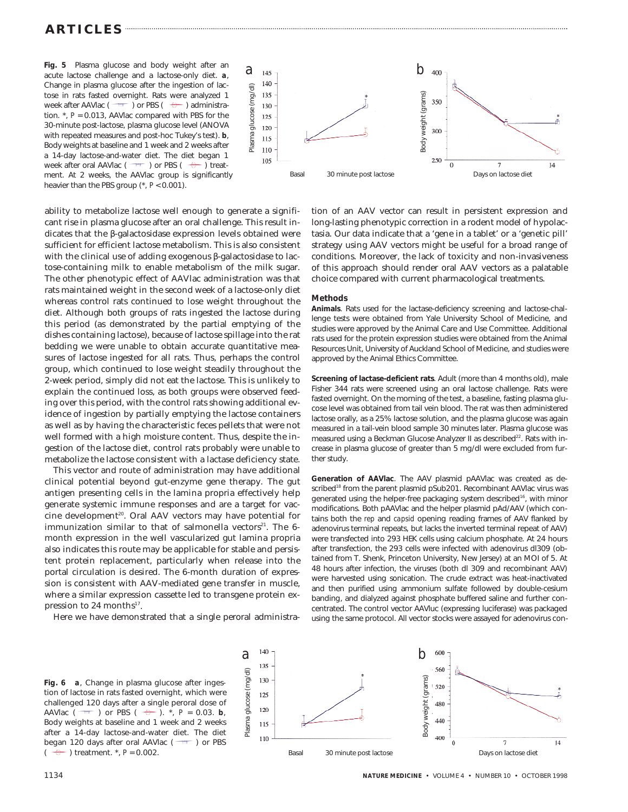# **ARTICLES**

**Fig. 5** Plasma glucose and body weight after an acute lactose challenge and a lactose-only diet. *a*, Change in plasma glucose after the ingestion of lactose in rats fasted overnight. Rats were analyzed 1 week after AAVlac ( $\Box$ ) or PBS ( $\Box$ ) administration. \*, *P* = 0.013, AAVlac compared with PBS for the 30-minute post-lactose, plasma glucose level (ANOVA with repeated measures and post-hoc Tukey's test). *b*, Body weights at baseline and 1 week and 2 weeks after a 14-day lactose-and-water diet. The diet began 1 week after oral AAVlac ( $\overline{\phantom{a}}$ ) or PBS ( $\overline{\phantom{a}}$ ) treatment. At 2 weeks, the AAVlac group is significantly heavier than the PBS group (\*, *P* < 0.001).

ability to metabolize lactose well enough to generate a significant rise in plasma glucose after an oral challenge. This result indicates that the β-galactosidase expression levels obtained were sufficient for efficient lactose metabolism. This is also consistent with the clinical use of adding exogenous β-galactosidase to lactose-containing milk to enable metabolism of the milk sugar. The other phenotypic effect of AAVlac administration was that rats maintained weight in the second week of a lactose-only diet whereas control rats continued to lose weight throughout the diet. Although both groups of rats ingested the lactose during this period (as demonstrated by the partial emptying of the dishes containing lactose), because of lactose spillage into the rat bedding we were unable to obtain accurate quantitative measures of lactose ingested for all rats. Thus, perhaps the control group, which continued to lose weight steadily throughout the 2-week period, simply did not eat the lactose. This is unlikely to explain the continued loss, as both groups were observed feeding over this period, with the control rats showing additional evidence of ingestion by partially emptying the lactose containers as well as by having the characteristic feces pellets that were not well formed with a high moisture content. Thus, despite the ingestion of the lactose diet, control rats probably were unable to metabolize the lactose consistent with a lactase deficiency state.

This vector and route of administration may have additional clinical potential beyond gut-enzyme gene therapy. The gut antigen presenting cells in the lamina propria effectively help generate systemic immune responses and are a target for vaccine development<sup>20</sup>. Oral AAV vectors may have potential for immunization similar to that of salmonella vectors<sup>21</sup>. The 6month expression in the well vascularized gut lamina propria also indicates this route may be applicable for stable and persistent protein replacement, particularly when release into the portal circulation is desired. The 6-month duration of expression is consistent with AAV-mediated gene transfer in muscle, where a similar expression cassette led to transgene protein expression to 24 months $17$ .

Here we have demonstrated that a single peroral administra-



tion of an AAV vector can result in persistent expression and long-lasting phenotypic correction in a rodent model of hypolactasia. Our data indicate that a 'gene in a tablet' or a 'genetic pill' strategy using AAV vectors might be useful for a broad range of conditions. Moreover, the lack of toxicity and non-invasiveness of this approach should render oral AAV vectors as a palatable choice compared with current pharmacological treatments.

## **Methods**

**Animals**. Rats used for the lactase-deficiency screening and lactose-challenge tests were obtained from Yale University School of Medicine, and studies were approved by the Animal Care and Use Committee. Additional rats used for the protein expression studies were obtained from the Animal Resources Unit, University of Auckland School of Medicine, and studies were approved by the Animal Ethics Committee.

**Screening of lactase-deficient rats**. Adult (more than 4 months old), male Fisher 344 rats were screened using an oral lactose challenge. Rats were fasted overnight. On the morning of the test, a baseline, fasting plasma glucose level was obtained from tail vein blood. The rat was then administered lactose orally, as a 25% lactose solution, and the plasma glucose was again measured in a tail-vein blood sample 30 minutes later. Plasma glucose was measured using a Beckman Glucose Analyzer II as described<sup>22</sup>. Rats with increase in plasma glucose of greater than 5 mg/dl were excluded from further study.

**Generation of AAVlac**. The AAV plasmid pAAVlac was created as described<sup>18</sup> from the parent plasmid pSub201. Recombinant AAVlac virus was generated using the helper-free packaging system described<sup>16</sup>, with minor modifications. Both pAAVlac and the helper plasmid pAd/AAV (which contains both the *rep* and *capsid* opening reading frames of AAV flanked by adenovirus terminal repeats, but lacks the inverted terminal repeat of AAV) were transfected into 293 HEK cells using calcium phosphate. At 24 hours after transfection, the 293 cells were infected with adenovirus dl309 (obtained from T. Shenk, Princeton University, New Jersey) at an MOI of 5. At 48 hours after infection, the viruses (both dl 309 and recombinant AAV) were harvested using sonication. The crude extract was heat-inactivated and then purified using ammonium sulfate followed by double-cesium banding, and dialyzed against phosphate buffered saline and further concentrated. The control vector AAVluc (expressing luciferase) was packaged using the same protocol. All vector stocks were assayed for adenovirus con-

**Fig. 6** *a*, Change in plasma glucose after ingestion of lactose in rats fasted overnight, which were challenged 120 days after a single peroral dose of AAVlac ( $\rightarrow$  ) or PBS ( $\rightarrow$ ). \*, *P* = 0.03. **b**, Body weights at baseline and 1 week and 2 weeks after a 14-day lactose-and-water diet. The diet began 120 days after oral AAVlac  $($ <sup>-++</sup> ) or PBS  $\left(\begin{array}{cc} \sqrt{2} \\ \end{array}\right)$  treatment.  $^*$ ,  $P = 0.002$ .